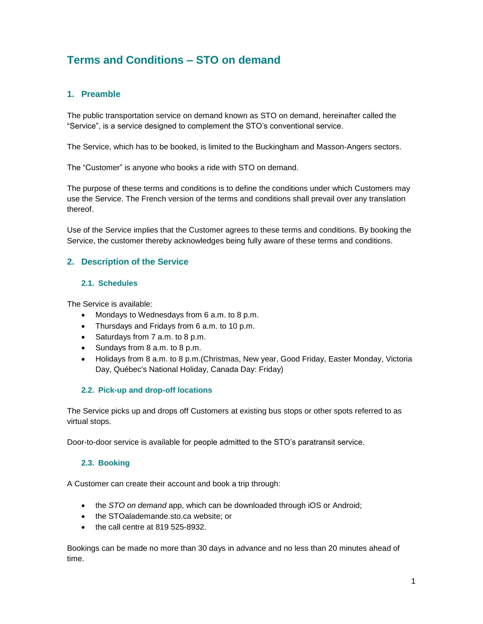# **Terms and Conditions – STO on demand**

# **1. Preamble**

The public transportation service on demand known as STO on demand, hereinafter called the "Service", is a service designed to complement the STO's conventional service.

The Service, which has to be booked, is limited to the Buckingham and Masson-Angers sectors.

The "Customer" is anyone who books a ride with STO on demand.

The purpose of these terms and conditions is to define the conditions under which Customers may use the Service. The French version of the terms and conditions shall prevail over any translation thereof.

Use of the Service implies that the Customer agrees to these terms and conditions. By booking the Service, the customer thereby acknowledges being fully aware of these terms and conditions.

## **2. Description of the Service**

#### **2.1. Schedules**

The Service is available:

- Mondays to Wednesdays from 6 a.m. to 8 p.m.
- Thursdays and Fridays from 6 a.m. to 10 p.m.
- Saturdays from 7 a.m. to 8 p.m.
- Sundays from 8 a.m. to 8 p.m.
- Holidays from 8 a.m. to 8 p.m.(Christmas, New year, Good Friday, Easter Monday, Victoria Day, Québec's National Holiday, Canada Day: Friday)

## **2.2. Pick-up and drop-off locations**

The Service picks up and drops off Customers at existing bus stops or other spots referred to as virtual stops.

Door-to-door service is available for people admitted to the STO's paratransit service.

## **2.3. Booking**

A Customer can create their account and book a trip through:

- the *STO on demand* app, which can be downloaded through iOS or Android;
- the STOalademande.sto.ca website; or
- the call centre at 819 525-8932.

Bookings can be made no more than 30 days in advance and no less than 20 minutes ahead of time.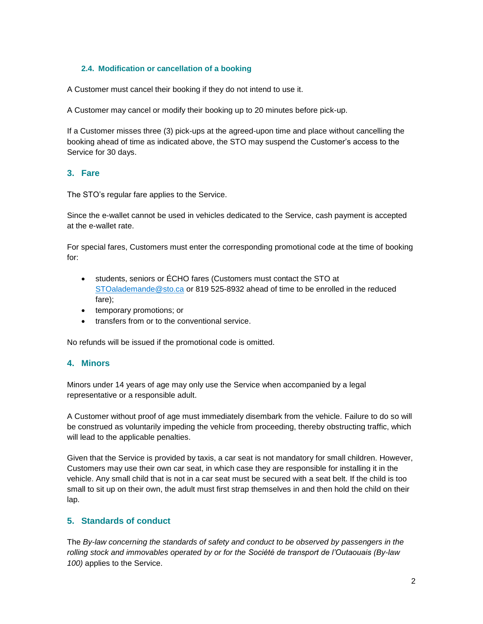## **2.4. Modification or cancellation of a booking**

A Customer must cancel their booking if they do not intend to use it.

A Customer may cancel or modify their booking up to 20 minutes before pick-up.

If a Customer misses three (3) pick-ups at the agreed-upon time and place without cancelling the booking ahead of time as indicated above, the STO may suspend the Customer's access to the Service for 30 days.

## **3. Fare**

The STO's regular fare applies to the Service.

Since the e-wallet cannot be used in vehicles dedicated to the Service, cash payment is accepted at the e-wallet rate.

For special fares, Customers must enter the corresponding promotional code at the time of booking for:

- students, seniors or ÉCHO fares (Customers must contact the STO at STOalademande@sto.ca or 819 525-8932 ahead of time to be enrolled in the reduced fare);
- temporary promotions; or
- transfers from or to the conventional service.

No refunds will be issued if the promotional code is omitted.

# **4. Minors**

Minors under 14 years of age may only use the Service when accompanied by a legal representative or a responsible adult.

A Customer without proof of age must immediately disembark from the vehicle. Failure to do so will be construed as voluntarily impeding the vehicle from proceeding, thereby obstructing traffic, which will lead to the applicable penalties.

Given that the Service is provided by taxis, a car seat is not mandatory for small children. However, Customers may use their own car seat, in which case they are responsible for installing it in the vehicle. Any small child that is not in a car seat must be secured with a seat belt. If the child is too small to sit up on their own, the adult must first strap themselves in and then hold the child on their lap.

## **5. Standards of conduct**

The *By-law concerning the standards of safety and conduct to be observed by passengers in the rolling stock and immovables operated by or for the Société de transport de l'Outaouais (By-law 100)* applies to the Service.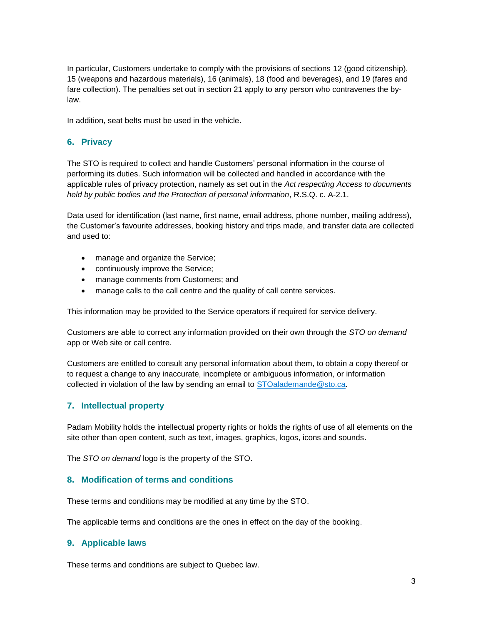In particular, Customers undertake to comply with the provisions of sections 12 (good citizenship), 15 (weapons and hazardous materials), 16 (animals), 18 (food and beverages), and 19 (fares and fare collection). The penalties set out in section 21 apply to any person who contravenes the bylaw.

In addition, seat belts must be used in the vehicle.

# **6. Privacy**

The STO is required to collect and handle Customers' personal information in the course of performing its duties. Such information will be collected and handled in accordance with the applicable rules of privacy protection, namely as set out in the *Act respecting Access to documents held by public bodies and the Protection of personal information*, R.S.Q. c. A-2.1.

Data used for identification (last name, first name, email address, phone number, mailing address), the Customer's favourite addresses, booking history and trips made, and transfer data are collected and used to:

- manage and organize the Service;
- continuously improve the Service;
- manage comments from Customers; and
- manage calls to the call centre and the quality of call centre services.

This information may be provided to the Service operators if required for service delivery.

Customers are able to correct any information provided on their own through the *STO on demand*  app or Web site or call centre*.*

Customers are entitled to consult any personal information about them, to obtain a copy thereof or to request a change to any inaccurate, incomplete or ambiguous information, or information collected in violation of the law by sending an email to [STOalademande@sto.ca.](about:blank)

# **7. Intellectual property**

Padam Mobility holds the intellectual property rights or holds the rights of use of all elements on the site other than open content, such as text, images, graphics, logos, icons and sounds.

The *STO on demand* logo is the property of the STO.

## **8. Modification of terms and conditions**

These terms and conditions may be modified at any time by the STO.

The applicable terms and conditions are the ones in effect on the day of the booking.

## **9. Applicable laws**

These terms and conditions are subject to Quebec law.